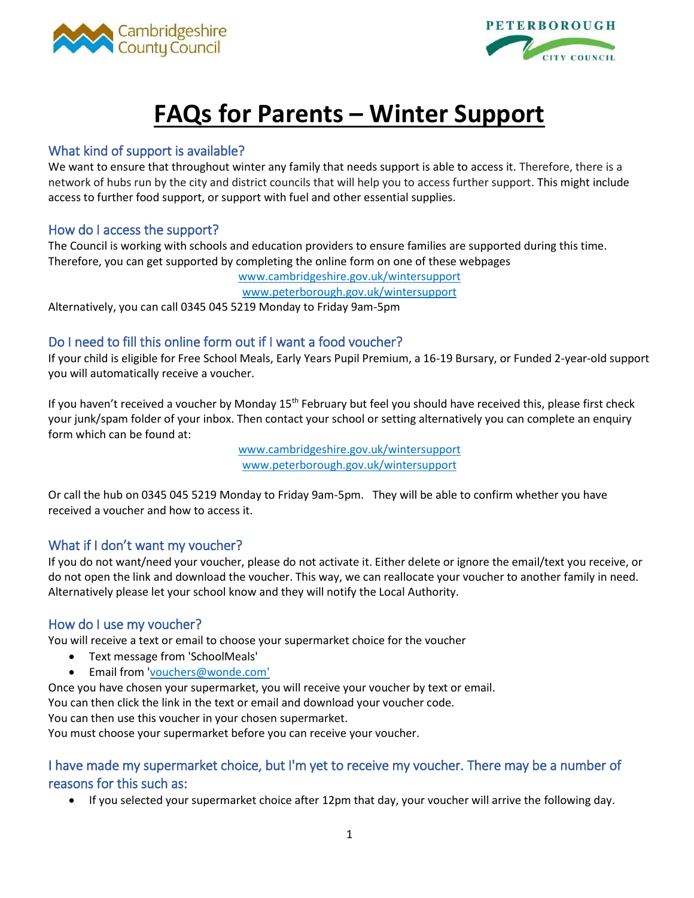



# **FAQs for Parents – Winter Support**

# What kind of support is available?

We want to ensure that throughout winter any family that needs support is able to access it. Therefore, there is a network of hubs run by the city and district councils that will help you to access further support. This might include access to further food support, or support with fuel and other essential supplies.

### How do I access the support?

The Council is working with schools and education providers to ensure families are supported during this time. Therefore, you can get supported by completing the online form on one of these webpages

[www.cambridgeshire.gov.uk/wintersupport](http://www.cambridgeshire.gov.uk/wintersupport)

[www.peterborough.gov.uk/wintersupport](http://www.peterborough.gov.uk/wintersupport)

Alternatively, you can call 0345 045 5219 Monday to Friday 9am-5pm

# Do I need to fill this online form out if I want a food voucher?

If your child is eligible for Free School Meals, Early Years Pupil Premium, a 16-19 Bursary, or Funded 2-year-old support you will automatically receive a voucher.

If you haven't received a voucher by Monday 15<sup>th</sup> February but feel you should have received this, please first check your junk/spam folder of your inbox. Then contact your school or setting alternatively you can complete an enquiry form which can be found at:

> [www.cambridgeshire.gov.uk/wintersupport](http://www.cambridgeshire.gov.uk/wintersupport) [www.peterborough.gov.uk/wintersupport](http://www.peterborough.gov.uk/wintersupport)

Or call the hub on 0345 045 5219 Monday to Friday 9am-5pm. They will be able to confirm whether you have received a voucher and how to access it.

# What if I don't want my voucher?

If you do not want/need your voucher, please do not activate it. Either delete or ignore the email/text you receive, or do not open the link and download the voucher. This way, we can reallocate your voucher to another family in need. Alternatively please let your school know and they will notify the Local Authority.

# How do I use my voucher?

You will receive a text or email to choose your supermarket choice for the voucher

- Text message from 'SchoolMeals'
- Email from ['vouchers@wonde.com'](mailto:vouchers@wonde.com)

Once you have chosen your supermarket, you will receive your voucher by text or email.

You can then click the link in the text or email and download your voucher code.

You can then use this voucher in your chosen supermarket.

You must choose your supermarket before you can receive your voucher.

# I have made my supermarket choice, but I'm yet to receive my voucher. There may be a number of reasons for this such as:

If you selected your supermarket choice after 12pm that day, your voucher will arrive the following day.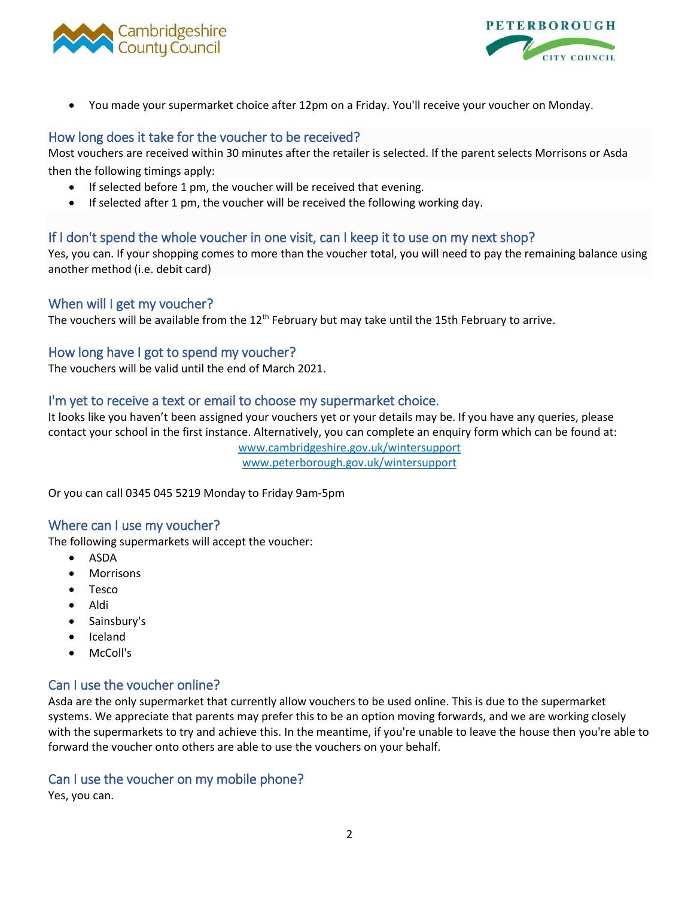



You made your supermarket choice after 12pm on a Friday. You'll receive your voucher on Monday.

# How long does it take for the voucher to be received?

Most vouchers are received within 30 minutes after the retailer is selected. If the parent selects Morrisons or Asda then the following timings apply:

- If selected before 1 pm, the voucher will be received that evening.
- If selected after 1 pm, the voucher will be received the following working day.

# If I don't spend the whole voucher in one visit, can I keep it to use on my next shop?

Yes, you can. If your shopping comes to more than the voucher total, you will need to pay the remaining balance using another method (i.e. debit card)

# When will I get my voucher?

The vouchers will be available from the 12<sup>th</sup> February but may take until the 15th February to arrive.

#### How long have I got to spend my voucher?

The vouchers will be valid until the end of March 2021.

# I'm yet to receive a text or email to choose my supermarket choice.

It looks like you haven't been assigned your vouchers yet or your details may be. If you have any queries, please contact your school in the first instance. Alternatively, you can complete an enquiry form which can be found at:

> [www.cambridgeshire.gov.uk/wintersupport](http://www.cambridgeshire.gov.uk/wintersupport) [www.peterborough.gov.uk/wintersupport](http://www.peterborough.gov.uk/wintersupport)

Or you can call 0345 045 5219 Monday to Friday 9am-5pm

#### Where can I use my voucher?

The following supermarkets will accept the voucher:

- ASDA
- Morrisons
- Tesco
- Aldi
- Sainsbury's
- Iceland
- McColl's

# Can I use the voucher online?

Asda are the only supermarket that currently allow vouchers to be used online. This is due to the supermarket systems. We appreciate that parents may prefer this to be an option moving forwards, and we are working closely with the supermarkets to try and achieve this. In the meantime, if you're unable to leave the house then you're able to forward the voucher onto others are able to use the vouchers on your behalf.

# Can I use the voucher on my mobile phone?

Yes, you can.